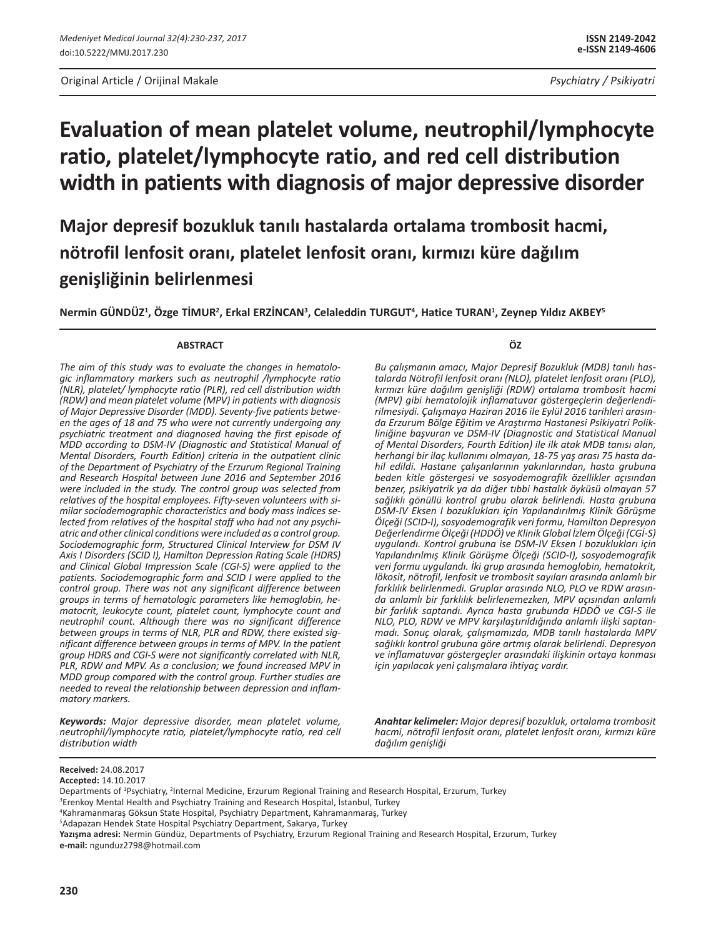**Major depresif bozukluk tanılı hastalarda ortalama trombosit hacmi, nötrofil lenfosit oranı, platelet lenfosit oranı, kırmızı küre dağılım genişliğinin belirlenmesi**

**Nermin GÜNDÜZ1 , Özge TİMUR<sup>2</sup> , Erkal ERZİNCAN<sup>3</sup> , Celaleddin TURGUT<sup>4</sup> , Hatice TURAN<sup>1</sup> , Zeynep Yıldız AKBEY<sup>5</sup>**

#### **ABSTRACT**

*The aim of this study was to evaluate the changes in hematologic inflammatory markers such as neutrophil /lymphocyte ratio (NLR), platelet/ lymphocyte ratio (PLR), red cell distribution width (RDW) and mean platelet volume (MPV) in patients with diagnosis of Major Depressive Disorder (MDD). Seventy-five patients between the ages of 18 and 75 who were not currently undergoing any psychiatric treatment and diagnosed having the first episode of MDD according to DSM-IV (Diagnostic and Statistical Manual of Mental Disorders, Fourth Edition) criteria in the outpatient clinic of the Department of Psychiatry of the Erzurum Regional Training and Research Hospital between June 2016 and September 2016 were included in the study. The control group was selected from relatives of the hospital employees. Fifty-seven volunteers with similar sociodemographic characteristics and body mass indices selected from relatives of the hospital staff who had not any psychiatric and other clinical conditions were included as a control group. Sociodemographic form, Structured Clinical Interview for DSM IV Axis I Disorders (SCID I), Hamilton Depression Rating Scale (HDRS) and Clinical Global Impression Scale (CGI-S) were applied to the patients. Sociodemographic form and SCID I were applied to the control group. There was not any significant difference between groups in terms of hematologic parameters like hemoglobin, hematocrit, leukocyte count, platelet count, lymphocyte count and neutrophil count. Although there was no significant difference between groups in terms of NLR, PLR and RDW, there existed significant difference between groups in terms of MPV. In the patient group HDRS and CGI-S were not significantly correlated with NLR, PLR, RDW and MPV. As a conclusion; we found increased MPV in MDD group compared with the control group. Further studies are needed to reveal the relationship between depression and inflammatory markers.*

*Keywords: Major depressive disorder, mean platelet volume, neutrophil/lymphocyte ratio, platelet/lymphocyte ratio, red cell distribution width*

**ÖZ**

*Bu çalışmanın amacı, Major Depresif Bozukluk (MDB) tanılı hastalarda Nötrofil lenfosit oranı (NLO), platelet lenfosit oranı (PLO), kırmızı küre dağılım genişliği (RDW) ortalama trombosit hacmi (MPV) gibi hematolojik inflamatuvar göstergeçlerin değerlendirilmesiydi. Çalışmaya Haziran 2016 ile Eylül 2016 tarihleri arasında Erzurum Bölge Eğitim ve Araştırma Hastanesi Psikiyatri Polikliniğine başvuran ve DSM-IV (Diagnostic and Statistical Manual of Mental Disorders, Fourth Edition) ile ilk atak MDB tanısı alan, herhangi bir ilaç kullanımı olmayan, 18-75 yaş arası 75 hasta dahil edildi. Hastane çalışanlarının yakınlarından, hasta grubuna beden kitle göstergesi ve sosyodemografik özellikler açısından benzer, psikiyatrik ya da diğer tıbbi hastalık öyküsü olmayan 57 sağlıklı gönüllü kontrol grubu olarak belirlendi. Hasta grubuna DSM-IV Eksen I bozuklukları için Yapılandırılmış Klinik Görüşme Ölçeği (SCID-I), sosyodemografik veri formu, Hamilton Depresyon Değerlendirme Ölçeği (HDDÖ) ve Klinik Global İzlem Ölçeği (CGİ-S) uygulandı. Kontrol grubuna ise DSM-IV Eksen I bozuklukları için Yapılandırılmış Klinik Görüşme Ölçeği (SCID-I), sosyodemografik veri formu uygulandı. İki grup arasında hemoglobin, hematokrit, lökosit, nötrofil, lenfosit ve trombosit sayıları arasında anlamlı bir farklılık belirlenmedi. Gruplar arasında NLO, PLO ve RDW arasında anlamlı bir farklılık belirlenemezken, MPV açısından anlamlı bir farlılık saptandı. Ayrıca hasta grubunda HDDÖ ve CGI-S ile NLO, PLO, RDW ve MPV karşılaştırıldığında anlamlı ilişki saptanmadı. Sonuç olarak, çalışmamızda, MDB tanılı hastalarda MPV sağlıklı kontrol grubuna göre artmış olarak belirlendi. Depresyon ve inflamatuvar göstergeçler arasındaki ilişkinin ortaya konması için yapılacak yeni çalışmalara ihtiyaç vardır.*

*Anahtar kelimeler: Major depresif bozukluk, ortalama trombosit hacmi, nötrofil lenfosit oranı, platelet lenfosit oranı, kırmızı küre dağılım genişliği*

**Accepted:** 14.10.2017

Departments of <sup>1</sup>Psychiatry, <sup>2</sup>Internal Medicine, Erzurum Regional Training and Research Hospital, Erzurum, Turkey

5 Adapazarı Hendek State Hospital Psychiatry Department, Sakarya, Turkey

**Yazışma adresi:** Nermin Gündüz, Departments of Psychiatry, Erzurum Regional Training and Research Hospital, Erzurum, Turkey **e-mail:** ngunduz2798@hotmail.com

**Received:** 24.08.2017

<sup>3</sup> Erenkoy Mental Health and Psychiatry Training and Research Hospital, İstanbul, Turkey

<sup>4</sup> Kahramanmaraş Göksun State Hospital, Psychiatry Department, Kahramanmaraş, Turkey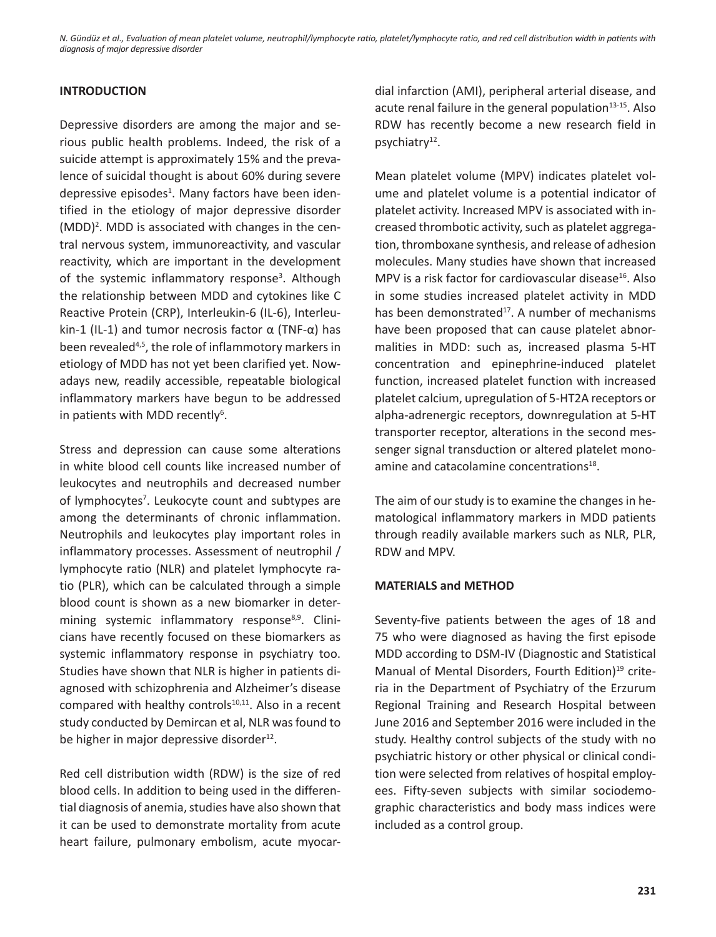# **INTRODUCTION**

Depressive disorders are among the major and serious public health problems. Indeed, the risk of a suicide attempt is approximately 15% and the prevalence of suicidal thought is about 60% during severe depressive episodes<sup>1</sup>. Many factors have been identified in the etiology of major depressive disorder (MDD)<sup>2</sup>. MDD is associated with changes in the central nervous system, immunoreactivity, and vascular reactivity, which are important in the development of the systemic inflammatory response<sup>3</sup>. Although the relationship between MDD and cytokines like C Reactive Protein (CRP), Interleukin-6 (IL-6), Interleukin-1 (IL-1) and tumor necrosis factor  $\alpha$  (TNF- $\alpha$ ) has been revealed<sup>4,5</sup>, the role of inflammotory markers in etiology of MDD has not yet been clarified yet. Nowadays new, readily accessible, repeatable biological inflammatory markers have begun to be addressed in patients with MDD recently<sup>6</sup>.

Stress and depression can cause some alterations in white blood cell counts like increased number of leukocytes and neutrophils and decreased number of lymphocytes<sup>7</sup>. Leukocyte count and subtypes are among the determinants of chronic inflammation. Neutrophils and leukocytes play important roles in inflammatory processes. Assessment of neutrophil / lymphocyte ratio (NLR) and platelet lymphocyte ratio (PLR), which can be calculated through a simple blood count is shown as a new biomarker in determining systemic inflammatory response<sup>8,9</sup>. Clinicians have recently focused on these biomarkers as systemic inflammatory response in psychiatry too. Studies have shown that NLR is higher in patients diagnosed with schizophrenia and Alzheimer's disease compared with healthy controls<sup>10,11</sup>. Also in a recent study conducted by Demircan et al, NLR was found to be higher in major depressive disorder<sup>12</sup>.

Red cell distribution width (RDW) is the size of red blood cells. In addition to being used in the differential diagnosis of anemia, studies have also shown that it can be used to demonstrate mortality from acute heart failure, pulmonary embolism, acute myocardial infarction (AMI), peripheral arterial disease, and acute renal failure in the general population $13-15$ . Also RDW has recently become a new research field in psychiatry $12$ .

Mean platelet volume (MPV) indicates platelet volume and platelet volume is a potential indicator of platelet activity. Increased MPV is associated with increased thrombotic activity, such as platelet aggregation, thromboxane synthesis, and release of adhesion molecules. Many studies have shown that increased MPV is a risk factor for cardiovascular disease<sup>16</sup>. Also in some studies increased platelet activity in MDD has been demonstrated<sup>17</sup>. A number of mechanisms have been proposed that can cause platelet abnormalities in MDD: such as, increased plasma 5-HT concentration and epinephrine-induced platelet function, increased platelet function with increased platelet calcium, upregulation of 5-HT2A receptors or alpha-adrenergic receptors, downregulation at 5-HT transporter receptor, alterations in the second messenger signal transduction or altered platelet monoamine and catacolamine concentrations<sup>18</sup>.

The aim of our study is to examine the changes in hematological inflammatory markers in MDD patients through readily available markers such as NLR, PLR, RDW and MPV.

## **MATERIALS and METHOD**

Seventy-five patients between the ages of 18 and 75 who were diagnosed as having the first episode MDD according to DSM-IV (Diagnostic and Statistical Manual of Mental Disorders, Fourth Edition)<sup>19</sup> criteria in the Department of Psychiatry of the Erzurum Regional Training and Research Hospital between June 2016 and September 2016 were included in the study. Healthy control subjects of the study with no psychiatric history or other physical or clinical condition were selected from relatives of hospital employees. Fifty-seven subjects with similar sociodemographic characteristics and body mass indices were included as a control group.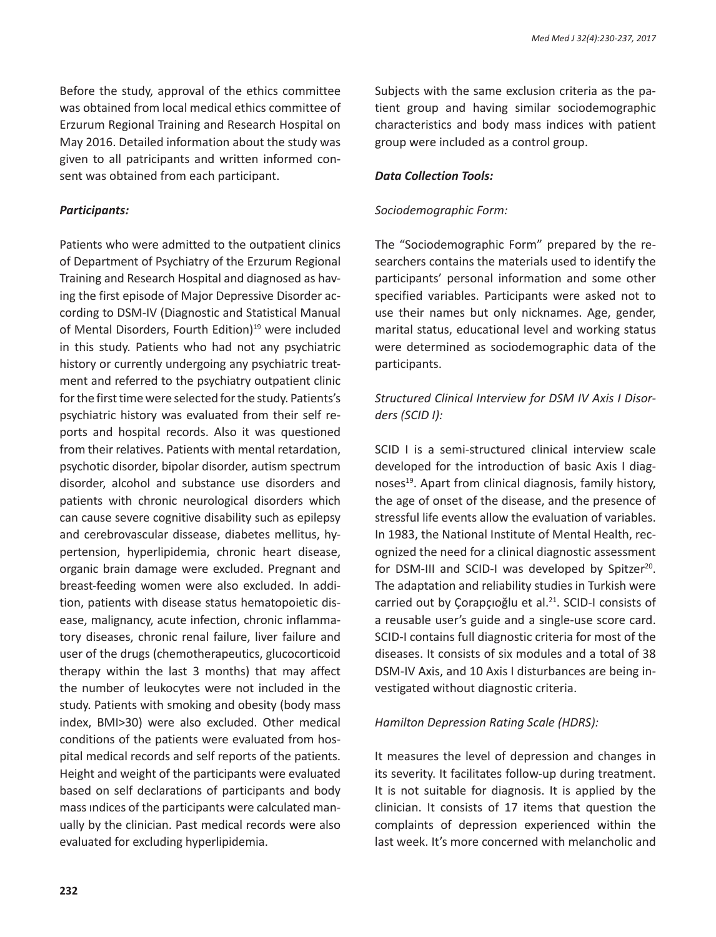Before the study, approval of the ethics committee was obtained from local medical ethics committee of Erzurum Regional Training and Research Hospital on May 2016. Detailed information about the study was given to all patricipants and written informed consent was obtained from each participant.

## *Participants:*

Patients who were admitted to the outpatient clinics of Department of Psychiatry of the Erzurum Regional Training and Research Hospital and diagnosed as having the first episode of Major Depressive Disorder according to DSM-IV (Diagnostic and Statistical Manual of Mental Disorders, Fourth Edition)<sup>19</sup> were included in this study. Patients who had not any psychiatric history or currently undergoing any psychiatric treatment and referred to the psychiatry outpatient clinic for the first time were selected for the study. Patients's psychiatric history was evaluated from their self reports and hospital records. Also it was questioned from their relatives. Patients with mental retardation, psychotic disorder, bipolar disorder, autism spectrum disorder, alcohol and substance use disorders and patients with chronic neurological disorders which can cause severe cognitive disability such as epilepsy and cerebrovascular dissease, diabetes mellitus, hypertension, hyperlipidemia, chronic heart disease, organic brain damage were excluded. Pregnant and breast-feeding women were also excluded. In addition, patients with disease status hematopoietic disease, malignancy, acute infection, chronic inflammatory diseases, chronic renal failure, liver failure and user of the drugs (chemotherapeutics, glucocorticoid therapy within the last 3 months) that may affect the number of leukocytes were not included in the study. Patients with smoking and obesity (body mass index, BMI>30) were also excluded. Other medical conditions of the patients were evaluated from hospital medical records and self reports of the patients. Height and weight of the participants were evaluated based on self declarations of participants and body mass ındices of the participants were calculated manually by the clinician. Past medical records were also evaluated for excluding hyperlipidemia.

Subjects with the same exclusion criteria as the patient group and having similar sociodemographic characteristics and body mass indices with patient group were included as a control group.

## *Data Collection Tools:*

# *Sociodemographic Form:*

The "Sociodemographic Form" prepared by the researchers contains the materials used to identify the participants' personal information and some other specified variables. Participants were asked not to use their names but only nicknames. Age, gender, marital status, educational level and working status were determined as sociodemographic data of the participants.

# *Structured Clinical Interview for DSM IV Axis I Disorders (SCID I):*

SCID I is a semi-structured clinical interview scale developed for the introduction of basic Axis I diagnoses<sup>19</sup>. Apart from clinical diagnosis, family history, the age of onset of the disease, and the presence of stressful life events allow the evaluation of variables. In 1983, the National Institute of Mental Health, recognized the need for a clinical diagnostic assessment for DSM-III and SCID-I was developed by Spitzer<sup>20</sup>. The adaptation and reliability studies in Turkish were carried out by Corapçioglu et al.<sup>21</sup>. SCID-I consists of a reusable user's guide and a single-use score card. SCID-I contains full diagnostic criteria for most of the diseases. It consists of six modules and a total of 38 DSM-IV Axis, and 10 Axis I disturbances are being investigated without diagnostic criteria.

# *Hamilton Depression Rating Scale (HDRS):*

It measures the level of depression and changes in its severity. It facilitates follow-up during treatment. It is not suitable for diagnosis. It is applied by the clinician. It consists of 17 items that question the complaints of depression experienced within the last week. It's more concerned with melancholic and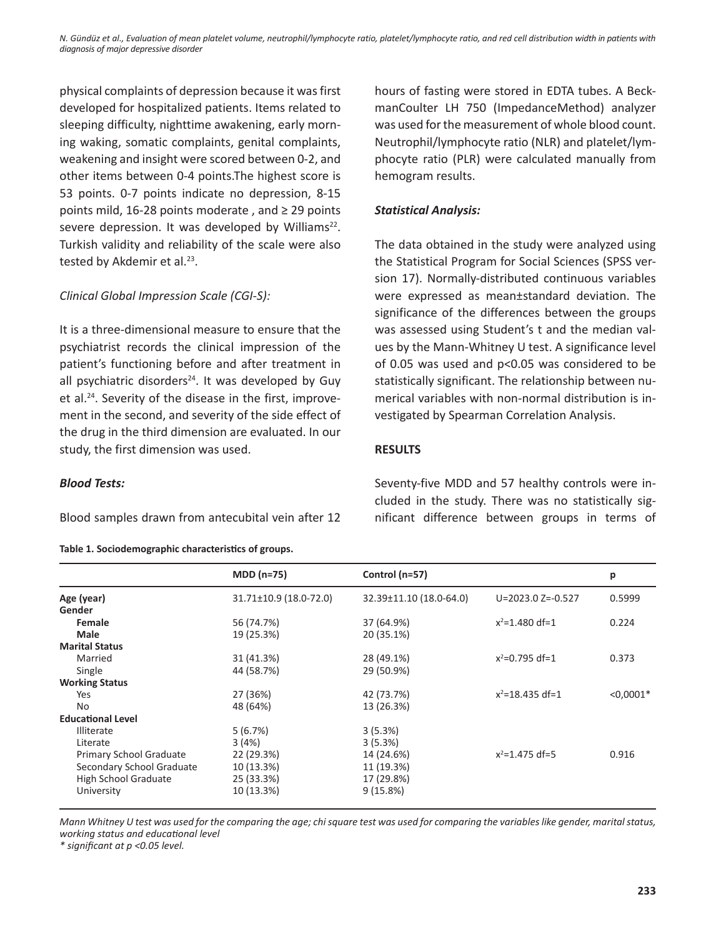physical complaints of depression because it was first developed for hospitalized patients. Items related to sleeping difficulty, nighttime awakening, early morning waking, somatic complaints, genital complaints, weakening and insight were scored between 0-2, and other items between 0-4 points.The highest score is 53 points. 0-7 points indicate no depression, 8-15 points mild, 16-28 points moderate , and ≥ 29 points severe depression. It was developed by Williams<sup>22</sup>. Turkish validity and reliability of the scale were also tested by Akdemir et al.<sup>23</sup>.

# *Clinical Global Impression Scale (CGI-S):*

It is a three-dimensional measure to ensure that the psychiatrist records the clinical impression of the patient's functioning before and after treatment in all psychiatric disorders $24$ . It was developed by Guy et al.<sup>24</sup>. Severity of the disease in the first, improvement in the second, and severity of the side effect of the drug in the third dimension are evaluated. In our study, the first dimension was used.

*Blood Tests:*

Blood samples drawn from antecubital vein after 12

#### **Table 1. Sociodemographic characteristics of groups.**

hours of fasting were stored in EDTA tubes. A BeckmanCoulter LH 750 (ImpedanceMethod) analyzer was used for the measurement of whole blood count. Neutrophil/lymphocyte ratio (NLR) and platelet/lymphocyte ratio (PLR) were calculated manually from hemogram results.

# *Statistical Analysis:*

The data obtained in the study were analyzed using the Statistical Program for Social Sciences (SPSS version 17). Normally-distributed continuous variables were expressed as mean±standard deviation. The significance of the differences between the groups was assessed using Student's t and the median values by the Mann-Whitney U test. A significance level of 0.05 was used and p<0.05 was considered to be statistically significant. The relationship between numerical variables with non-normal distribution is investigated by Spearman Correlation Analysis.

# **RESULTS**

Seventy-five MDD and 57 healthy controls were included in the study. There was no statistically significant difference between groups in terms of

|                                | $MDD(n=75)$            | Control (n=57)          |                         | р           |
|--------------------------------|------------------------|-------------------------|-------------------------|-------------|
| Age (year)                     | 31.71±10.9 (18.0-72.0) | 32.39±11.10 (18.0-64.0) | $U = 2023.0 Z = -0.527$ | 0.5999      |
| Gender                         |                        |                         |                         |             |
| Female                         | 56 (74.7%)             | 37 (64.9%)              | $x^2$ =1.480 df=1       | 0.224       |
| Male                           | 19 (25.3%)             | 20 (35.1%)              |                         |             |
| <b>Marital Status</b>          |                        |                         |                         |             |
| Married                        | 31 (41.3%)             | 28 (49.1%)              | $x^2=0.795$ df=1        | 0.373       |
| Single                         | 44 (58.7%)             | 29 (50.9%)              |                         |             |
| <b>Working Status</b>          |                        |                         |                         |             |
| Yes                            | 27 (36%)               | 42 (73.7%)              | $x^2$ =18.435 df=1      | $< 0.0001*$ |
| No                             | 48 (64%)               | 13 (26.3%)              |                         |             |
| <b>Educational Level</b>       |                        |                         |                         |             |
| <b>Illiterate</b>              | 5(6.7%)                | 3(5.3%)                 |                         |             |
| Literate                       | 3(4%)                  | 3(5.3%)                 |                         |             |
| <b>Primary School Graduate</b> | 22 (29.3%)             | 14 (24.6%)              | $x^2$ =1.475 df=5       | 0.916       |
| Secondary School Graduate      | 10 (13.3%)             | 11 (19.3%)              |                         |             |
| <b>High School Graduate</b>    | 25 (33.3%)             | 17 (29.8%)              |                         |             |
| University                     | 10 (13.3%)             | 9(15.8%)                |                         |             |
|                                |                        |                         |                         |             |

*Mann Whitney U test was used for the comparing the age; chi square test was used for comparing the variables like gender, marital status, working status and educational level*

*\* significant at p <0.05 level.*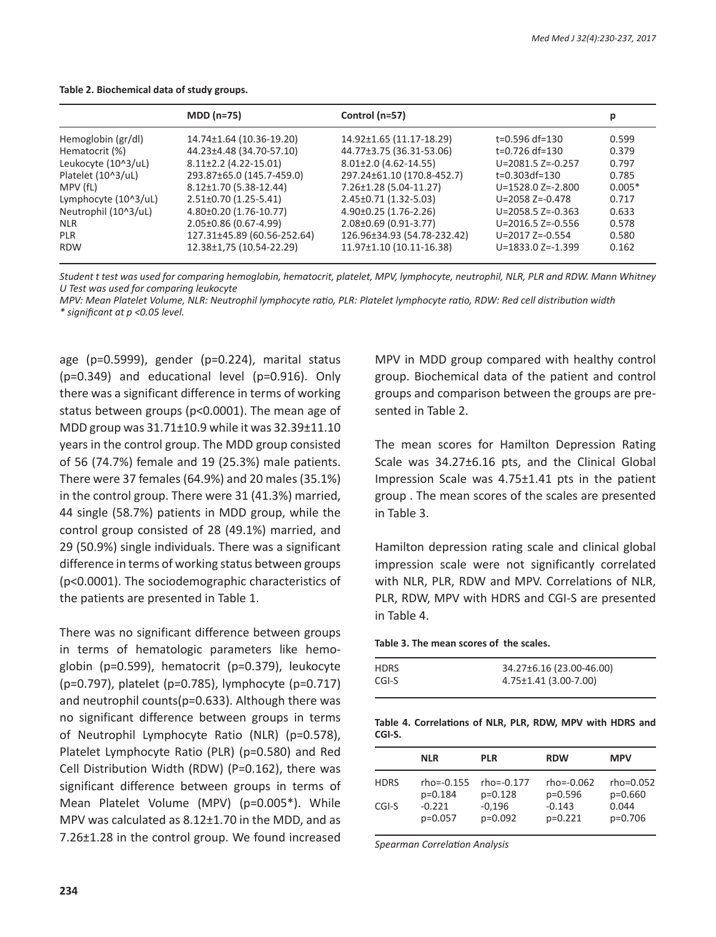|                      | $MDD (n=75)$                | Control (n=57)              |                         | р        |
|----------------------|-----------------------------|-----------------------------|-------------------------|----------|
| Hemoglobin (gr/dl)   | 14.74±1.64 (10.36-19.20)    | 14.92±1.65 (11.17-18.29)    | t=0.596 df=130          | 0.599    |
| Hematocrit (%)       | 44.23±4.48 (34.70-57.10)    | 44.77±3.75 (36.31-53.06)    | t=0.726 df=130          | 0.379    |
| Leukocyte (10^3/uL)  | $8.11\pm2.2$ (4.22-15.01)   | $8.01\pm2.0$ (4.62-14.55)   | $U = 2081.5 Z = -0.257$ | 0.797    |
| Platelet (10^3/uL)   | 293.87±65.0 (145.7-459.0)   | 297.24±61.10 (170.8-452.7)  | $t=0.303df=130$         | 0.785    |
| MPV (fL)             | 8.12±1.70 (5.38-12.44)      | 7.26±1.28 (5.04-11.27)      | $U = 1528.0 Z = -2.800$ | $0.005*$ |
| Lymphocyte (10^3/uL) | $2.51\pm0.70$ (1.25-5.41)   | 2.45±0.71 (1.32-5.03)       | $U = 2058 Z = -0.478$   | 0.717    |
| Neutrophil (10^3/uL) | 4.80±0.20 (1.76-10.77)      | $4.90\pm0.25$ (1.76-2.26)   | $U = 2058.5 Z = -0.363$ | 0.633    |
| <b>NLR</b>           | 2.05±0.86 (0.67-4.99)       | 2.08±0.69 (0.91-3.77)       | $U = 2016.5 Z = -0.556$ | 0.578    |
| <b>PLR</b>           | 127.31±45.89 (60.56-252.64) | 126.96±34.93 (54.78-232.42) | $U = 2017 Z = -0.554$   | 0.580    |
| <b>RDW</b>           | 12.38±1,75 (10.54-22.29)    | 11.97±1.10 (10.11-16.38)    | $U = 1833.0 Z = -1.399$ | 0.162    |

#### **Table 2. Biochemical data of study groups.**

*Student t test was used for comparing hemoglobin, hematocrit, platelet, MPV, lymphocyte, neutrophil, NLR, PLR and RDW. Mann Whitney U Test was used for comparing leukocyte*

*MPV: Mean Platelet Volume, NLR: Neutrophil lymphocyte ratio, PLR: Platelet lymphocyte ratio, RDW: Red cell distribution width \* significant at p <0.05 level.*

age (p=0.5999), gender (p=0.224), marital status (p=0.349) and educational level (p=0.916). Only there was a significant difference in terms of working status between groups (p<0.0001). The mean age of MDD group was 31.71±10.9 while it was 32.39±11.10 years in the control group. The MDD group consisted of 56 (74.7%) female and 19 (25.3%) male patients. There were 37 females (64.9%) and 20 males (35.1%) in the control group. There were 31 (41.3%) married, 44 single (58.7%) patients in MDD group, while the control group consisted of 28 (49.1%) married, and 29 (50.9%) single individuals. There was a significant difference in terms of working status between groups (p<0.0001). The sociodemographic characteristics of the patients are presented in Table 1.

There was no significant difference between groups in terms of hematologic parameters like hemoglobin (p=0.599), hematocrit (p=0.379), leukocyte (p=0.797), platelet (p=0.785), lymphocyte (p=0.717) and neutrophil counts(p=0.633). Although there was no significant difference between groups in terms of Neutrophil Lymphocyte Ratio (NLR) (p=0.578), Platelet Lymphocyte Ratio (PLR) (p=0.580) and Red Cell Distribution Width (RDW) (P=0.162), there was significant difference between groups in terms of Mean Platelet Volume (MPV) (p=0.005\*). While MPV was calculated as 8.12±1.70 in the MDD, and as 7.26±1.28 in the control group. We found increased MPV in MDD group compared with healthy control group. Biochemical data of the patient and control groups and comparison between the groups are presented in Table 2.

The mean scores for Hamilton Depression Rating Scale was 34.27±6.16 pts, and the Clinical Global Impression Scale was 4.75±1.41 pts in the patient group . The mean scores of the scales are presented in Table 3.

Hamilton depression rating scale and clinical global impression scale were not significantly correlated with NLR, PLR, RDW and MPV. Correlations of NLR, PLR, RDW, MPV with HDRS and CGI-S are presented in Table 4.

**Table 3. The mean scores of the scales.**

| <b>HDRS</b> | 34.27±6.16 (23.00-46.00) |
|-------------|--------------------------|
|             |                          |
| CGI-S       | 4.75±1.41 (3.00-7.00)    |

**Table 4. Correlations of NLR, PLR, RDW, MPV with HDRS and CGI-S.**

|             | <b>NLR</b>     | <b>PLR</b>     | <b>RDW</b>     | <b>MPV</b>    |
|-------------|----------------|----------------|----------------|---------------|
| <b>HDRS</b> | $rho = -0.155$ | $rho = -0.177$ | $rho = -0.062$ | $rho = 0.052$ |
|             | $p=0.184$      | $p=0.128$      | $p=0.596$      | $p=0.660$     |
| CGI-S       | $-0.221$       | $-0,196$       | $-0.143$       | 0.044         |
|             | $p=0.057$      | $p=0.092$      | $p=0.221$      | $p=0.706$     |

*Spearman Correlation Analysis*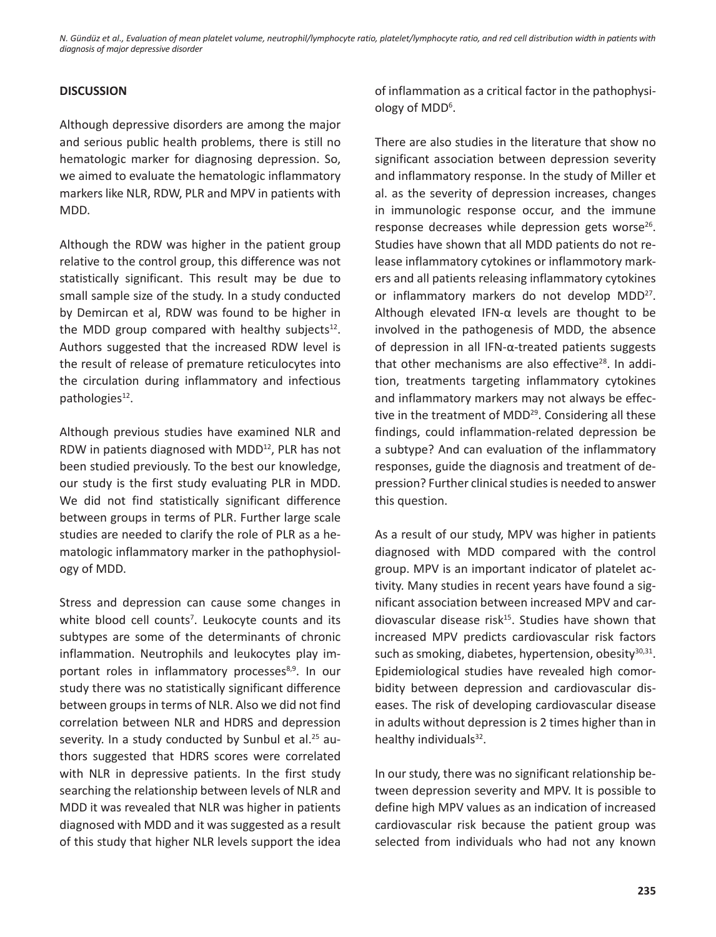## **DISCUSSION**

Although depressive disorders are among the major and serious public health problems, there is still no hematologic marker for diagnosing depression. So, we aimed to evaluate the hematologic inflammatory markers like NLR, RDW, PLR and MPV in patients with MDD.

Although the RDW was higher in the patient group relative to the control group, this difference was not statistically significant. This result may be due to small sample size of the study. In a study conducted by Demircan et al, RDW was found to be higher in the MDD group compared with healthy subjects $12$ . Authors suggested that the increased RDW level is the result of release of premature reticulocytes into the circulation during inflammatory and infectious pathologies<sup>12</sup>.

Although previous studies have examined NLR and RDW in patients diagnosed with MDD<sup>12</sup>, PLR has not been studied previously. To the best our knowledge, our study is the first study evaluating PLR in MDD. We did not find statistically significant difference between groups in terms of PLR. Further large scale studies are needed to clarify the role of PLR as a hematologic inflammatory marker in the pathophysiology of MDD.

Stress and depression can cause some changes in white blood cell counts<sup>7</sup>. Leukocyte counts and its subtypes are some of the determinants of chronic inflammation. Neutrophils and leukocytes play important roles in inflammatory processes<sup>8,9</sup>. In our study there was no statistically significant difference between groups in terms of NLR. Also we did not find correlation between NLR and HDRS and depression severity. In a study conducted by Sunbul et al.<sup>25</sup> authors suggested that HDRS scores were correlated with NLR in depressive patients. In the first study searching the relationship between levels of NLR and MDD it was revealed that NLR was higher in patients diagnosed with MDD and it was suggested as a result of this study that higher NLR levels support the idea of inflammation as a critical factor in the pathophysiology of MDD<sup>6</sup>.

There are also studies in the literature that show no significant association between depression severity and inflammatory response. In the study of Miller et al. as the severity of depression increases, changes in immunologic response occur, and the immune response decreases while depression gets worse $26$ . Studies have shown that all MDD patients do not release inflammatory cytokines or inflammotory markers and all patients releasing inflammatory cytokines or inflammatory markers do not develop MDD<sup>27</sup>. Although elevated IFN-α levels are thought to be involved in the pathogenesis of MDD, the absence of depression in all IFN-α-treated patients suggests that other mechanisms are also effective $28$ . In addition, treatments targeting inflammatory cytokines and inflammatory markers may not always be effective in the treatment of MDD<sup>29</sup>. Considering all these findings, could inflammation-related depression be a subtype? And can evaluation of the inflammatory responses, guide the diagnosis and treatment of depression? Further clinical studies is needed to answer this question.

As a result of our study, MPV was higher in patients diagnosed with MDD compared with the control group. MPV is an important indicator of platelet activity. Many studies in recent years have found a significant association between increased MPV and cardiovascular disease risk<sup>15</sup>. Studies have shown that increased MPV predicts cardiovascular risk factors such as smoking, diabetes, hypertension, obesity $30,31$ . Epidemiological studies have revealed high comorbidity between depression and cardiovascular diseases. The risk of developing cardiovascular disease in adults without depression is 2 times higher than in healthy individuals<sup>32</sup>.

In our study, there was no significant relationship between depression severity and MPV. It is possible to define high MPV values as an indication of increased cardiovascular risk because the patient group was selected from individuals who had not any known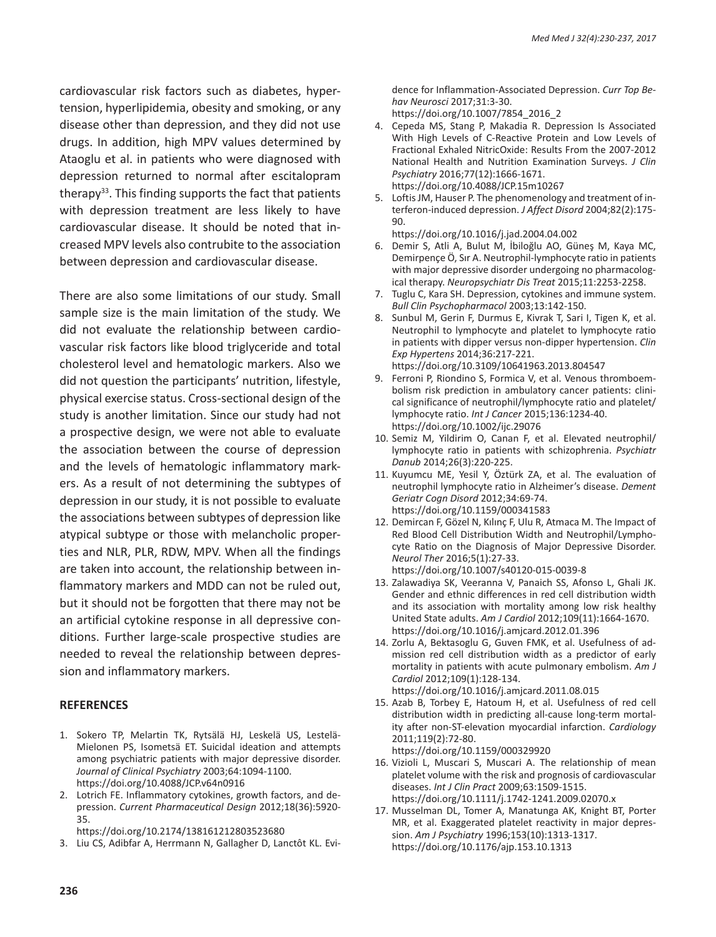cardiovascular risk factors such as diabetes, hypertension, hyperlipidemia, obesity and smoking, or any disease other than depression, and they did not use drugs. In addition, high MPV values determined by Ataoglu et al. in patients who were diagnosed with depression returned to normal after escitalopram therapy<sup>33</sup>. This finding supports the fact that patients with depression treatment are less likely to have cardiovascular disease. It should be noted that increased MPV levels also contrubite to the association between depression and cardiovascular disease.

There are also some limitations of our study. Small sample size is the main limitation of the study. We did not evaluate the relationship between cardiovascular risk factors like blood triglyceride and total cholesterol level and hematologic markers. Also we did not question the participants' nutrition, lifestyle, physical exercise status. Cross-sectional design of the study is another limitation. Since our study had not a prospective design, we were not able to evaluate the association between the course of depression and the levels of hematologic inflammatory markers. As a result of not determining the subtypes of depression in our study, it is not possible to evaluate the associations between subtypes of depression like atypical subtype or those with melancholic properties and NLR, PLR, RDW, MPV. When all the findings are taken into account, the relationship between inflammatory markers and MDD can not be ruled out, but it should not be forgotten that there may not be an artificial cytokine response in all depressive conditions. Further large-scale prospective studies are needed to reveal the relationship between depression and inflammatory markers.

## **REFERENCES**

- 1. Sokero TP, Melartin TK, Rytsälä HJ, Leskelä US, Lestelä-Mielonen PS, Isometsä ET. Suicidal ideation and attempts among psychiatric patients with major depressive disorder. *Journal of Clinical Psychiatry* 2003;64:1094-1100. https://doi.org/10.4088/JCP.v64n0916
- 2. Lotrich FE. Inflammatory cytokines, growth factors, and depression. *Current Pharmaceutical Design* 2012;18(36):5920- 35.

https://doi.org/10.2174/138161212803523680

3. Liu CS, Adibfar A, Herrmann N, Gallagher D, Lanctôt KL. Evi-

dence for Inflammation-Associated Depression. *Curr Top Behav Neurosci* 2017;31:3-30.

- https://doi.org/10.1007/7854\_2016\_2
- 4. Cepeda MS, Stang P, Makadia R. Depression Is Associated With High Levels of C-Reactive Protein and Low Levels of Fractional Exhaled NitricOxide: Results From the 2007-2012 National Health and Nutrition Examination Surveys. *J Clin Psychiatry* 2016;77(12):1666-1671. https://doi.org/10.4088/JCP.15m10267
- 5. Loftis JM, Hauser P. The phenomenology and treatment of interferon-induced depression. *J Affect Disord* 2004;82(2):175-  $90$

https://doi.org/10.1016/j.jad.2004.04.002

- 6. Demir S, Atli A, Bulut M, İbiloğlu AO, Güneş M, Kaya MC, Demirpençe Ö, Sır A. Neutrophil-lymphocyte ratio in patients with major depressive disorder undergoing no pharmacological therapy. *Neuropsychiatr Dis Treat* 2015;11:2253-2258.
- 7. Tuglu C, Kara SH. Depression, cytokines and immune system. *Bull Clin Psychopharmacol* 2003;13:142-150.
- 8. Sunbul M, Gerin F, Durmus E, Kivrak T, Sari I, Tigen K, et al. Neutrophil to lymphocyte and platelet to lymphocyte ratio in patients with dipper versus non-dipper hypertension. *Clin Exp Hypertens* 2014;36:217-221. https://doi.org/10.3109/10641963.2013.804547
- 9. Ferroni P, Riondino S, Formica V, et al. Venous thromboembolism risk prediction in ambulatory cancer patients: clinical significance of neutrophil/lymphocyte ratio and platelet/ lymphocyte ratio. *Int J Cancer* 2015;136:1234-40. https://doi.org/10.1002/ijc.29076
- 10. Semiz M, Yildirim O, Canan F, et al. Elevated neutrophil/ lymphocyte ratio in patients with schizophrenia. *Psychiatr Danub* 2014;26(3):220-225.
- 11. Kuyumcu ME, Yesil Y, Öztürk ZA, et al. The evaluation of neutrophil lymphocyte ratio in Alzheimer's disease. *Dement Geriatr Cogn Disord* 2012;34:69-74. https://doi.org/10.1159/000341583
- 12. Demircan F, Gözel N, Kılınç F, Ulu R, Atmaca M. The Impact of Red Blood Cell Distribution Width and Neutrophil/Lymphocyte Ratio on the Diagnosis of Major Depressive Disorder. *Neurol Ther* 2016;5(1):27-33. https://doi.org/10.1007/s40120-015-0039-8
- 13. Zalawadiya SK, Veeranna V, Panaich SS, Afonso L, Ghali JK. Gender and ethnic differences in red cell distribution width and its association with mortality among low risk healthy United State adults. *Am J Cardiol* 2012;109(11):1664-1670. https://doi.org/10.1016/j.amjcard.2012.01.396
- 14. Zorlu A, Bektasoglu G, Guven FMK, et al. Usefulness of admission red cell distribution width as a predictor of early mortality in patients with acute pulmonary embolism. *Am J Cardiol* 2012;109(1):128-134.
- https://doi.org/10.1016/j.amjcard.2011.08.015 15. Azab B, Torbey E, Hatoum H, et al. Usefulness of red cell distribution width in predicting all-cause long-term mortality after non-ST-elevation myocardial infarction. *Cardiology* 2011;119(2):72-80. https://doi.org/10.1159/000329920
- 16. Vizioli L, Muscari S, Muscari A. The relationship of mean platelet volume with the risk and prognosis of cardiovascular diseases. *Int J Clin Pract* 2009;63:1509-1515. https://doi.org/10.1111/j.1742-1241.2009.02070.x
- 17. Musselman DL, Tomer A, Manatunga AK, Knight BT, Porter MR, et al. Exaggerated platelet reactivity in major depression. *Am J Psychiatry* 1996;153(10):1313-1317. https://doi.org/10.1176/ajp.153.10.1313